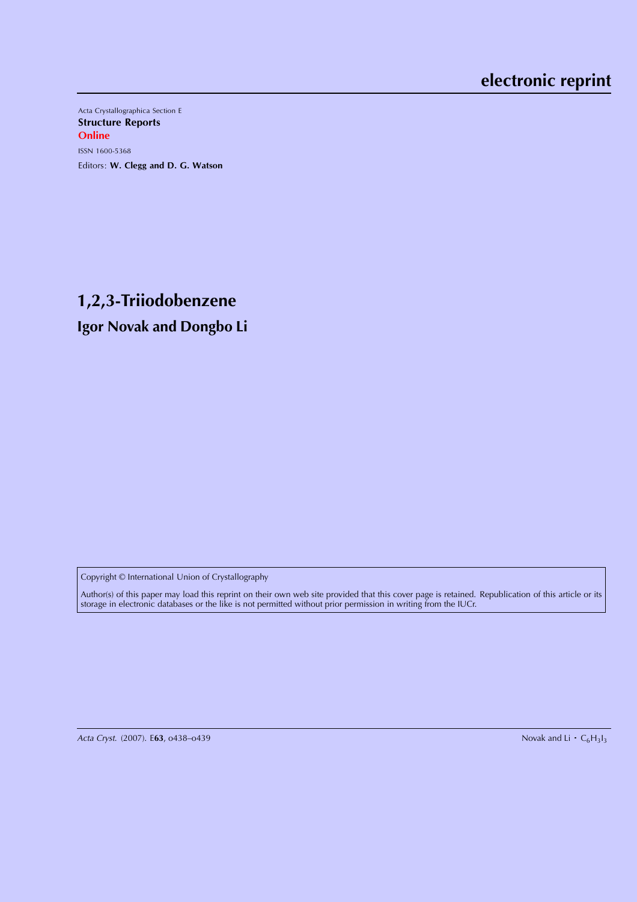Acta Crystallographica Section E Structure Reports **Online** ISSN 1600-5368 Editors: W. Clegg and D. G. Watson

# **1,2,3-Triiodobenzene Igor Novak and Dongbo Li**

Copyright © International Union of Crystallography

Author(s) of this paper may load this reprint on their own web site provided that this cover page is retained. Republication of this article or its storage in electronic databases or the like is not permitted without prior permission in writing from the IUCr.

Acta Cryst. (2007). E63, o438-o439

Novak and Li  $\cdot C_6H_3I_3$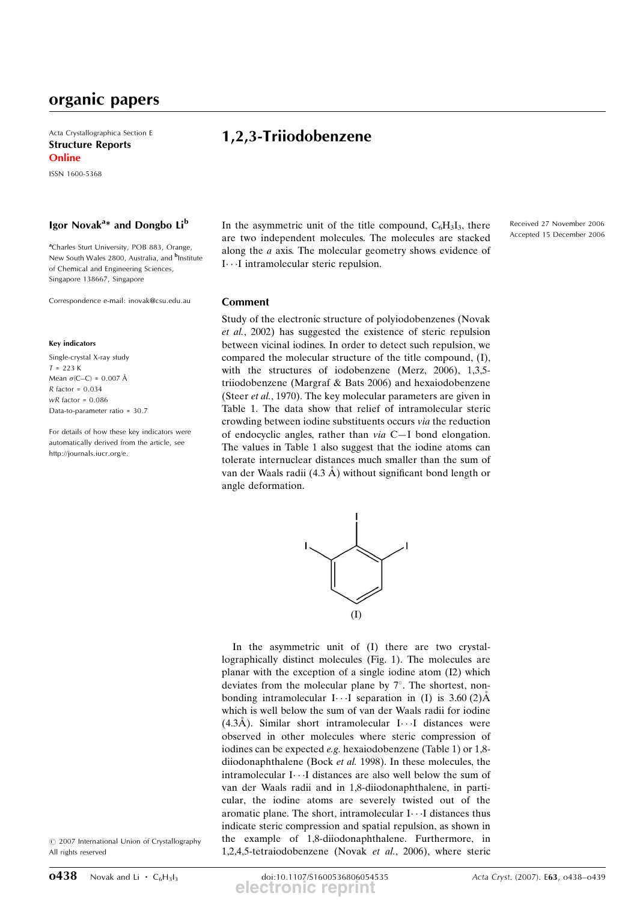Acta Crystallographica Section E Structure Reports **Online** 

ISSN 1600-5368

### Igor Novak<sup>a\*</sup> and Dongbo Li<sup>b</sup>

<sup>a</sup>Charles Sturt University, POB 883, Orange, New South Wales 2800, Australia, and <sup>b</sup>Institute of Chemical and Engineering Sciences, Singapore 138667, Singapore

Correspondence e-mail: inovak@csu.edu.au

#### Key indicators

Single-crystal X-ray study  $T = 223 K$ Mean  $\sigma$ (C–C) = 0.007 Å  $R$  factor = 0.034  $wR$  factor = 0.086 Data-to-parameter ratio = 30.7

For details of how these key indicators were automatically derived from the article, see http://journals.iucr.org/e.

1,2,3-Triiodobenzene

In the asymmetric unit of the title compound,  $C_6H_3I_3$ , there are two independent molecules. The molecules are stacked along the a axis. The molecular geometry shows evidence of I---I intramolecular steric repulsion.

## Comment

Study of the electronic structure of polyiodobenzenes (Novak et al., 2002) has suggested the existence of steric repulsion between vicinal iodines. In order to detect such repulsion, we compared the molecular structure of the title compound, (I), with the structures of iodobenzene (Merz, 2006), 1,3,5triiodobenzene (Margraf & Bats 2006) and hexaiodobenzene (Steer et al., 1970). The key molecular parameters are given in Table 1. The data show that relief of intramolecular steric crowding between iodine substituents occurs via the reduction of endocyclic angles, rather than via C—I bond elongation. The values in Table 1 also suggest that the iodine atoms can tolerate internuclear distances much smaller than the sum of van der Waals radii  $(4.3 \text{ Å})$  without significant bond length or angle deformation.



In the asymmetric unit of (I) there are two crystallographically distinct molecules (Fig. 1). The molecules are planar with the exception of a single iodine atom (I2) which deviates from the molecular plane by  $7^\circ$ . The shortest, nonbonding intramolecular  $I \cdot \cdot I$  separation in (I) is 3.60 (2) $\AA$ which is well below the sum of van der Waals radii for iodine  $(4.3\text{\AA})$ . Similar short intramolecular I $\cdots$ I distances were observed in other molecules where steric compression of iodines can be expected e.g. hexaiodobenzene (Table 1) or 1,8 diiodonaphthalene (Bock et al. 1998). In these molecules, the intramolecular  $I \cdot \cdot I$  distances are also well below the sum of van der Waals radii and in 1,8-diiodonaphthalene, in particular, the iodine atoms are severely twisted out of the aromatic plane. The short, intramolecular  $I \cdot \cdot \cdot I$  distances thus indicate steric compression and spatial repulsion, as shown in the example of 1,8-diiodonaphthalene. Furthermore, in 1,2,4,5-tetraiodobenzene (Novak et al., 2006), where steric

 $©$  2007 International Union of Crystallography All rights reserved

Received 27 November 2006 Accepted 15 December 2006